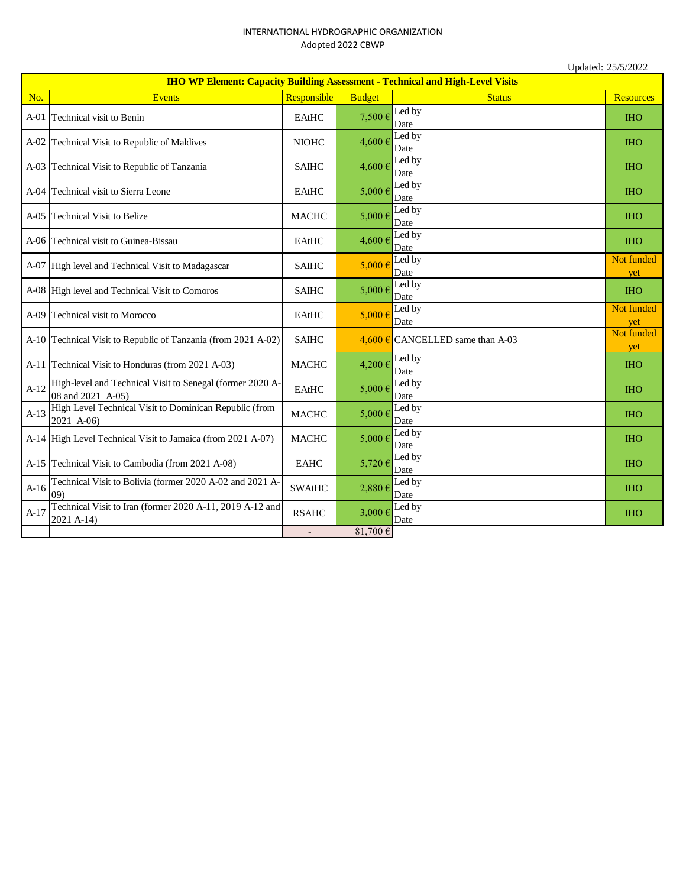## INTERNATIONAL HYDROGRAPHIC ORGANIZATION Adopted 2022 CBWP

|                                                                                       | Updated: 25/5/2022                                                             |               |               |                                  |                   |
|---------------------------------------------------------------------------------------|--------------------------------------------------------------------------------|---------------|---------------|----------------------------------|-------------------|
| <b>IHO WP Element: Capacity Building Assessment - Technical and High-Level Visits</b> |                                                                                |               |               |                                  |                   |
| No.                                                                                   | <b>Events</b>                                                                  | Responsible   | <b>Budget</b> | <b>Status</b>                    | <b>Resources</b>  |
| $A-01$                                                                                | Technical visit to Benin                                                       | EAtHC         | 7,500€        | Led by<br>Date                   | <b>THO</b>        |
|                                                                                       | A-02 Technical Visit to Republic of Maldives                                   | <b>NIOHC</b>  | 4,600€        | Led by<br>Date                   | <b>IHO</b>        |
|                                                                                       | A-03 Technical Visit to Republic of Tanzania                                   | <b>SAIHC</b>  | 4,600€        | Led by<br>Date                   | <b>IHO</b>        |
| $A-04$                                                                                | Technical visit to Sierra Leone                                                | <b>EAtHC</b>  | $5,000 \in$   | Led by<br>Date                   | <b>IHO</b>        |
|                                                                                       | A-05 Technical Visit to Belize                                                 | <b>MACHC</b>  | 5,000 €       | Led by<br>Date                   | <b>IHO</b>        |
|                                                                                       | A-06 Technical visit to Guinea-Bissau                                          | <b>EAtHC</b>  | $4,600 \in$   | Led by<br>Date                   | <b>IHO</b>        |
|                                                                                       | A-07 High level and Technical Visit to Madagascar                              | <b>SAIHC</b>  | $5,000 \in$   | Led by<br>Date                   | Not funded<br>yet |
|                                                                                       | A-08 High level and Technical Visit to Comoros                                 | <b>SAIHC</b>  | $5.000 \in$   | Led by<br>Date                   | <b>IHO</b>        |
|                                                                                       | A-09 Technical visit to Morocco                                                | <b>EAtHC</b>  | $5,000 \in$   | Led by<br>Date                   | Not funded<br>yet |
|                                                                                       | A-10 Technical Visit to Republic of Tanzania (from 2021 A-02)                  | <b>SAIHC</b>  |               | 4,600 € CANCELLED same than A-03 | Not funded<br>yet |
|                                                                                       | A-11 Technical Visit to Honduras (from 2021 A-03)                              | <b>MACHC</b>  | 4,200€        | Led by<br>Date                   | <b>IHO</b>        |
| $A-12$                                                                                | High-level and Technical Visit to Senegal (former 2020 A-<br>08 and 2021 A-05) | EAtHC         | $5,000 \in$   | Led by<br>Date                   | <b>IHO</b>        |
| $A-13$                                                                                | High Level Technical Visit to Dominican Republic (from<br>2021 A-06)           | <b>MACHC</b>  | 5,000€        | Led by<br>Date                   | <b>THO</b>        |
|                                                                                       | A-14 High Level Technical Visit to Jamaica (from 2021 A-07)                    | <b>MACHC</b>  | $5,000 \in$   | Led by<br>Date                   | <b>IHO</b>        |
|                                                                                       | A-15 Technical Visit to Cambodia (from 2021 A-08)                              | <b>EAHC</b>   | 5,720€        | Led by<br>Date                   | <b>THO</b>        |
| $A-16$                                                                                | Technical Visit to Bolivia (former 2020 A-02 and 2021 A-<br>09)                | <b>SWAtHC</b> | 2,880€        | Led by<br>Date                   | <b>IHO</b>        |
| $A-17$                                                                                | Technical Visit to Iran (former 2020 A-11, 2019 A-12 and<br>2021 A-14)         | <b>RSAHC</b>  | $3,000 \in$   | Led by<br>Date                   | <b>IHO</b>        |
|                                                                                       |                                                                                |               | 81,700€       |                                  |                   |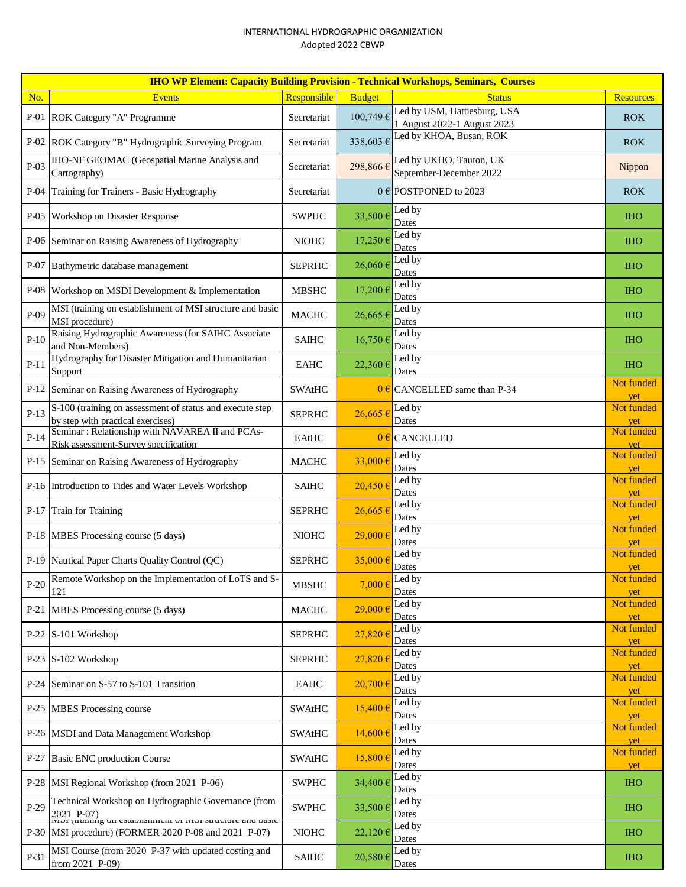## INTERNATIONAL HYDROGRAPHIC ORGANIZATION Adopted 2022 CBWP

|        | <b>IHO WP Element: Capacity Building Provision - Technical Workshops, Seminars, Courses</b>                                        |               |               |                                                             |                                 |  |  |
|--------|------------------------------------------------------------------------------------------------------------------------------------|---------------|---------------|-------------------------------------------------------------|---------------------------------|--|--|
| No.    | <b>Events</b>                                                                                                                      | Responsible   | <b>Budget</b> | <b>Status</b>                                               | <b>Resources</b>                |  |  |
|        | P-01 ROK Category "A" Programme                                                                                                    | Secretariat   | 100,749€      | Led by USM, Hattiesburg, USA<br>1 August 2022-1 August 2023 | <b>ROK</b>                      |  |  |
|        | P-02 ROK Category "B" Hydrographic Surveying Program                                                                               | Secretariat   | 338,603€      | Led by KHOA, Busan, ROK                                     | <b>ROK</b>                      |  |  |
| $P-03$ | <b>IHO-NF GEOMAC</b> (Geospatial Marine Analysis and<br>Cartography)                                                               | Secretariat   | 298,866€      | Led by UKHO, Tauton, UK<br>September-December 2022          | Nippon                          |  |  |
|        | P-04 Training for Trainers - Basic Hydrography                                                                                     | Secretariat   |               | $0 \in$ POSTPONED to 2023                                   | <b>ROK</b>                      |  |  |
| P-05   | Workshop on Disaster Response                                                                                                      | <b>SWPHC</b>  | 33,500€       | Led by<br>Dates                                             | <b>IHO</b>                      |  |  |
|        | P-06 Seminar on Raising Awareness of Hydrography                                                                                   | <b>NIOHC</b>  | 17,250€       | Led by<br>Dates                                             | <b>IHO</b>                      |  |  |
| $P-07$ | Bathymetric database management                                                                                                    | <b>SEPRHC</b> | $26,060 \in$  | Led by<br>Dates                                             | <b>IHO</b>                      |  |  |
|        | P-08 Workshop on MSDI Development & Implementation                                                                                 | <b>MBSHC</b>  | 17,200€       | Led by<br>Dates                                             | <b>IHO</b>                      |  |  |
| P-09   | MSI (training on establishment of MSI structure and basic<br>MSI procedure)                                                        | <b>MACHC</b>  | 26,665€       | Led by<br>Dates                                             | <b>IHO</b>                      |  |  |
| $P-10$ | Raising Hydrographic Awareness (for SAIHC Associate<br>and Non-Members)                                                            | <b>SAIHC</b>  | 16,750€       | Led by<br>Dates                                             | <b>IHO</b>                      |  |  |
| $P-11$ | Hydrography for Disaster Mitigation and Humanitarian<br>Support                                                                    | <b>EAHC</b>   | 22,360€       | Led by<br>Dates                                             | <b>IHO</b>                      |  |  |
| $P-12$ | Seminar on Raising Awareness of Hydrography                                                                                        | <b>SWAtHC</b> |               | $0 \in$ CANCELLED same than P-34                            | Not funded<br>yet               |  |  |
| $P-13$ | S-100 (training on assessment of status and execute step<br>by step with practical exercises)                                      | <b>SEPRHC</b> | $26,665 \in$  | Led by<br>Dates                                             | Not funded<br>yet               |  |  |
| $P-14$ | Seminar: Relationship with NAVAREA II and PCAs-<br>Risk assessment-Survey specification                                            | EAtHC         |               | $0 \in$ CANCELLED                                           | Not funded<br>yet               |  |  |
|        | P-15 Seminar on Raising Awareness of Hydrography                                                                                   | <b>MACHC</b>  | $33,000 \in$  | Led by<br>Dates                                             | Not funded<br>yet               |  |  |
|        | P-16 Introduction to Tides and Water Levels Workshop                                                                               | <b>SAIHC</b>  | $20,450 \in$  | Led by<br>Dates                                             | Not funded<br>yet               |  |  |
|        | P-17 Train for Training                                                                                                            | <b>SEPRHC</b> | 26,665€       | Led by<br>Dates                                             | Not funded<br>yet<br>Not funded |  |  |
|        | P-18 MBES Processing course (5 days)                                                                                               | <b>NIOHC</b>  | 29,000€       | Led by<br>Dates                                             |                                 |  |  |
|        | P-19 Nautical Paper Charts Quality Control (QC)                                                                                    | <b>SEPRHC</b> | 35,000€       | Led by<br>Dates                                             | Not funded<br>yet<br>Not funded |  |  |
| $P-20$ | Remote Workshop on the Implementation of LoTS and S-<br>121                                                                        | <b>MBSHC</b>  | $7,000 \in$   | Led by<br>Dates                                             |                                 |  |  |
| P-21   | MBES Processing course (5 days)                                                                                                    | <b>MACHC</b>  | 29,000€       | Led by<br>Dates                                             | Not funded<br>yet               |  |  |
|        | P-22 S-101 Workshop                                                                                                                | <b>SEPRHC</b> | 27,820€       | Led by<br>Dates                                             | Not funded<br>yet               |  |  |
|        | P-23 S-102 Workshop                                                                                                                | <b>SEPRHC</b> | 27,820€       | Led by<br>Dates                                             | Not funded<br>yet               |  |  |
|        | P-24 Seminar on S-57 to S-101 Transition                                                                                           | <b>EAHC</b>   | $20,700 \in$  | Led by<br>Dates                                             | Not funded<br>yet               |  |  |
|        | P-25 MBES Processing course                                                                                                        | <b>SWAtHC</b> | $15,400 \in$  | Led by<br>Dates                                             | Not funded<br>yet               |  |  |
|        | P-26   MSDI and Data Management Workshop                                                                                           | <b>SWAtHC</b> | 14,600€       | Led by<br>Dates                                             | Not funded<br>yet               |  |  |
| $P-27$ | <b>Basic ENC production Course</b>                                                                                                 | SWAtHC        | 15,800€       | Led by<br>Dates                                             | Not funded<br>yet               |  |  |
|        | P-28   MSI Regional Workshop (from 2021 P-06)                                                                                      | <b>SWPHC</b>  | 34,400€       | Led by<br>Dates                                             | <b>IHO</b>                      |  |  |
| $P-29$ | Technical Workshop on Hydrographic Governance (from<br>2021 P-07)<br>IWIST (training on establishment of IWIST structure and basic | <b>SWPHC</b>  | 33,500€       | Led by<br>Dates                                             | <b>IHO</b>                      |  |  |
|        | P-30  MSI procedure) (FORMER 2020 P-08 and 2021 P-07)                                                                              | <b>NIOHC</b>  | 22,120 €      | Led by<br>Dates                                             | <b>IHO</b>                      |  |  |
| P-31   | MSI Course (from 2020 P-37 with updated costing and<br>from 2021 P-09)                                                             | <b>SAIHC</b>  | 20,580€       | Led by<br>Dates                                             | <b>IHO</b>                      |  |  |